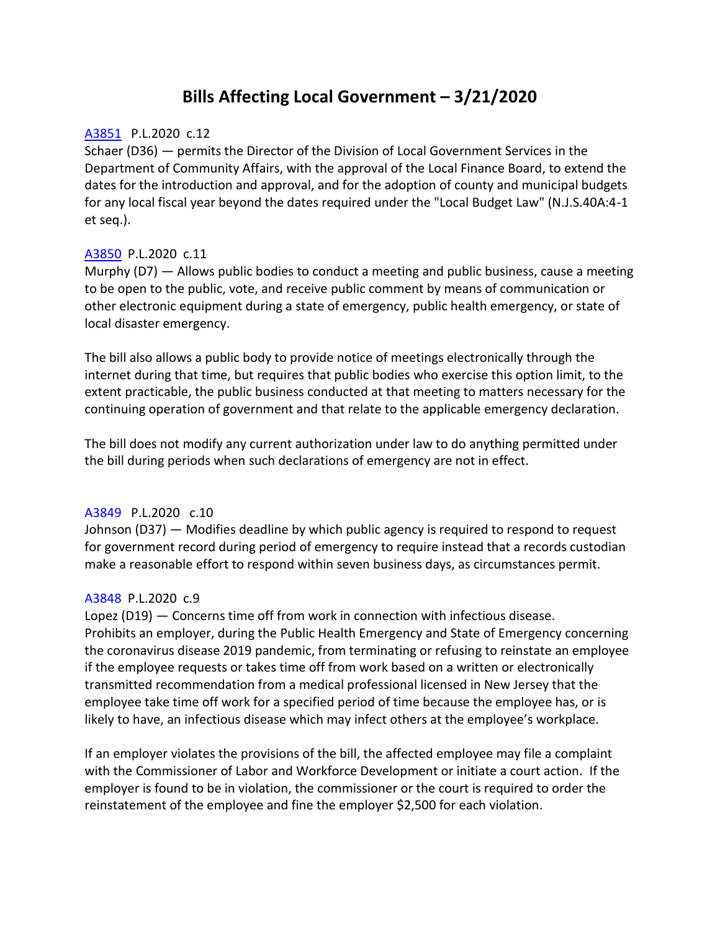# **Bills Affecting Local Government – 3/21/2020**

#### [A3851](https://www.njleg.state.nj.us/2020/Bills/A4000/3851_I1.PDF) P.L.2020 c.12

Schaer (D36) — permits the Director of the Division of Local Government Services in the Department of Community Affairs, with the approval of the Local Finance Board, to extend the dates for the introduction and approval, and for the adoption of county and municipal budgets for any local fiscal year beyond the dates required under the "Local Budget Law" (N.J.S.40A:4-1 et seq.).

# [A3850](https://www.njleg.state.nj.us/2020/Bills/A4000/3850_I1.PDF) P.L.2020 c.11

Murphy (D7) — Allows public bodies to conduct a meeting and public business, cause a meeting to be open to the public, vote, and receive public comment by means of communication or other electronic equipment during a state of emergency, public health emergency, or state of local disaster emergency.

The bill also allows a public body to provide notice of meetings electronically through the internet during that time, but requires that public bodies who exercise this option limit, to the extent practicable, the public business conducted at that meeting to matters necessary for the continuing operation of government and that relate to the applicable emergency declaration.

The bill does not modify any current authorization under law to do anything permitted under the bill during periods when such declarations of emergency are not in effect.

#### [A3849](https://www.njleg.state.nj.us/2020/Bills/A4000/3849_I1.PDF) P.L.2020 c.10

Johnson (D37) — Modifies deadline by which public agency is required to respond to request for government record during period of emergency to require instead that a records custodian make a reasonable effort to respond within seven business days, as circumstances permit.

# [A3848](https://www.njleg.state.nj.us/2020/Bills/A4000/3848_I1.PDF) P.L.2020 c.9

Lopez (D19) — Concerns time off from work in connection with infectious disease. Prohibits an employer, during the Public Health Emergency and State of Emergency concerning the coronavirus disease 2019 pandemic, from terminating or refusing to reinstate an employee if the employee requests or takes time off from work based on a written or electronically transmitted recommendation from a medical professional licensed in New Jersey that the employee take time off work for a specified period of time because the employee has, or is likely to have, an infectious disease which may infect others at the employee's workplace.

If an employer violates the provisions of the bill, the affected employee may file a complaint with the Commissioner of Labor and Workforce Development or initiate a court action. If the employer is found to be in violation, the commissioner or the court is required to order the reinstatement of the employee and fine the employer \$2,500 for each violation.